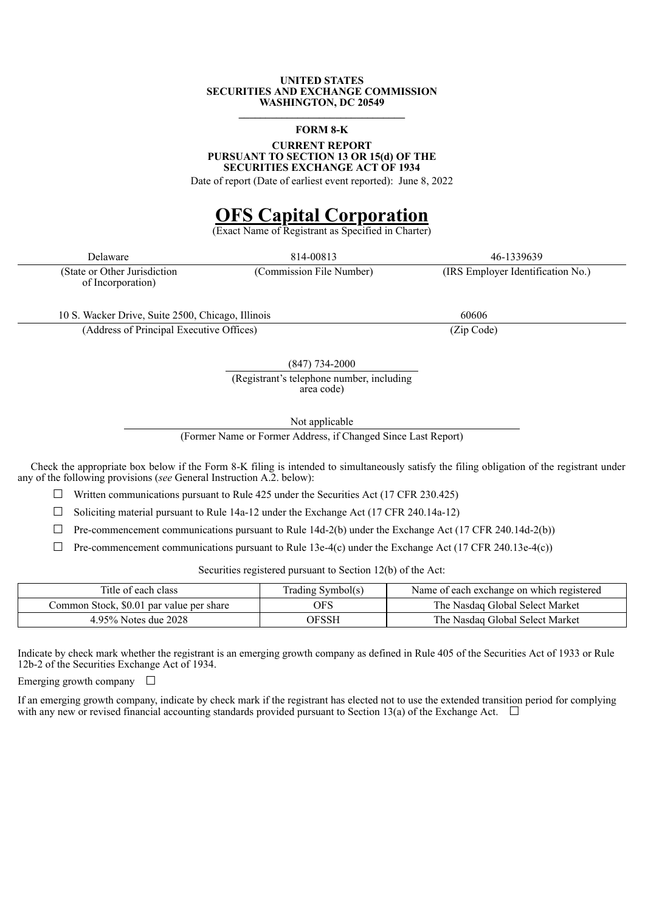### **UNITED STATES SECURITIES AND EXCHANGE COMMISSION WASHINGTON, DC 20549 \_\_\_\_\_\_\_\_\_\_\_\_\_\_\_\_\_\_\_\_\_\_\_\_\_\_\_\_\_\_\_**

### **FORM 8-K**

### **CURRENT REPORT PURSUANT TO SECTION 13 OR 15(d) OF THE SECURITIES EXCHANGE ACT OF 1934**

Date of report (Date of earliest event reported): June 8, 2022

# **OFS Capital Corporation**

Vame of Registrant as Specified in Charter)

(State or Other Jurisdiction of Incorporation)

(Commission File Number) (IRS Employer Identification No.)

10 S. Wacker Drive, Suite 2500, Chicago, Illinois 60606

(Address of Principal Executive Offices) (Zip Code)

(847) 734-2000

(Registrant's telephone number, including area code)

Not applicable

(Former Name or Former Address, if Changed Since Last Report)

Check the appropriate box below if the Form 8-K filing is intended to simultaneously satisfy the filing obligation of the registrant under any of the following provisions (*see* General Instruction A.2. below):

 $\Box$  Written communications pursuant to Rule 425 under the Securities Act (17 CFR 230.425)

 $\Box$  Soliciting material pursuant to Rule 14a-12 under the Exchange Act (17 CFR 240.14a-12)

 $\Box$  Pre-commencement communications pursuant to Rule 14d-2(b) under the Exchange Act (17 CFR 240.14d-2(b))

 $\Box$  Pre-commencement communications pursuant to Rule 13e-4(c) under the Exchange Act (17 CFR 240.13e-4(c))

Securities registered pursuant to Section 12(b) of the Act:

| Title of each class                      | Trading Symbol(s) | Name of each exchange on which registered |
|------------------------------------------|-------------------|-------------------------------------------|
| Common Stock, \$0.01 par value per share | ЭFS               | The Nasdaq Global Select Market           |
| 4.95% Notes due 2028                     | OFSSH             | The Nasdaq Global Select Market           |

Indicate by check mark whether the registrant is an emerging growth company as defined in Rule 405 of the Securities Act of 1933 or Rule 12b-2 of the Securities Exchange Act of 1934.

Emerging growth company  $\Box$ 

If an emerging growth company, indicate by check mark if the registrant has elected not to use the extended transition period for complying with any new or revised financial accounting standards provided pursuant to Section 13(a) of the Exchange Act.  $\Box$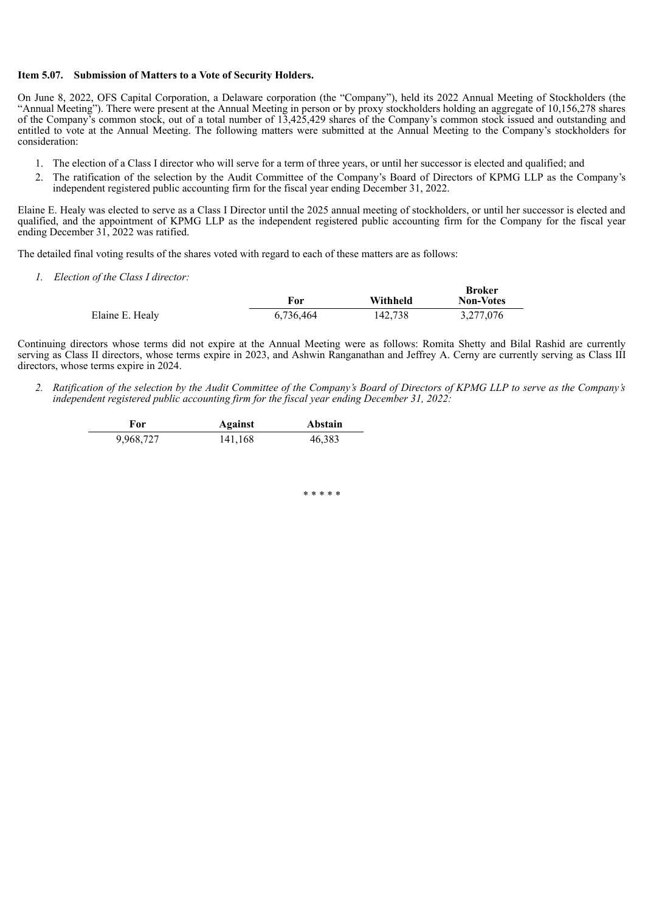## **Item 5.07. Submission of Matters to a Vote of Security Holders.**

On June 8, 2022, OFS Capital Corporation, a Delaware corporation (the "Company"), held its 2022 Annual Meeting of Stockholders (the "Annual Meeting"). There were present at the Annual Meeting in person or by proxy stockholders holding an aggregate of 10,156,278 shares of the Company's common stock, out of a total number of 13,425,429 shares of the Company's common stock issued and outstanding and entitled to vote at the Annual Meeting. The following matters were submitted at the Annual Meeting to the Company's stockholders for consideration:

- 1. The election of a Class I director who will serve for a term of three years, or until her successor is elected and qualified; and
- 2. The ratification of the selection by the Audit Committee of the Company's Board of Directors of KPMG LLP as the Company's independent registered public accounting firm for the fiscal year ending December 31, 2022.

Elaine E. Healy was elected to serve as a Class I Director until the 2025 annual meeting of stockholders, or until her successor is elected and qualified, and the appointment of KPMG LLP as the independent registered public accounting firm for the Company for the fiscal year ending December 31, 2022 was ratified.

The detailed final voting results of the shares voted with regard to each of these matters are as follows:

*1. Election of the Class I director:*

|                 | For       | Withheld | Broker<br><b>Non-Votes</b> |
|-----------------|-----------|----------|----------------------------|
| Elaine E. Healy | 6,736,464 | 142,738  | 3,277,076                  |

Continuing directors whose terms did not expire at the Annual Meeting were as follows: Romita Shetty and Bilal Rashid are currently serving as Class II directors, whose terms expire in 2023, and Ashwin Ranganathan and Jeffrey A. Cerny are currently serving as Class III directors, whose terms expire in 2024.

2. Ratification of the selection by the Audit Committee of the Company's Board of Directors of KPMG LLP to serve as the Company's *independent registered public accounting firm for the fiscal year ending December 31, 2022:*

| For       | Against | Abstain |
|-----------|---------|---------|
| 9,968,727 | 141,168 | 46,383  |

\* \* \* \* \*